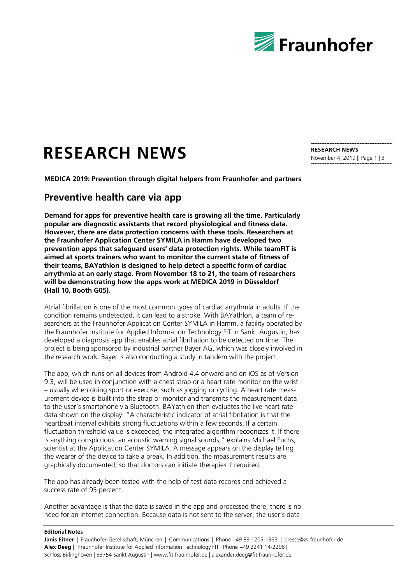

## **RESEARCH NEWS**

**MEDICA 2019: Prevention through digital helpers from Fraunhofer and partners** 

## **Preventive health care via app**

**Demand for apps for preventive health care is growing all the time. Particularly popular are diagnostic assistants that record physiological and fitness data. However, there are data protection concerns with these tools. Researchers at the Fraunhofer Application Center SYMILA in Hamm have developed two prevention apps that safeguard users' data protection rights. While teamFIT is aimed at sports trainers who want to monitor the current state of fitness of their teams, BAYathlon is designed to help detect a specific form of cardiac arrythmia at an early stage. From November 18 to 21, the team of researchers will be demonstrating how the apps work at MEDICA 2019 in Düsseldorf (Hall 10, Booth G05).**

Atrial fibrillation is one of the most common types of cardiac arrythmia in adults. If the condition remains undetected, it can lead to a stroke. With BAYathlon, a team of researchers at the Fraunhofer Application Center SYMILA in Hamm, a facility operated by the Fraunhofer Institute for Applied Information Technology FIT in Sankt Augustin, has developed a diagnosis app that enables atrial fibrillation to be detected on time. The project is being sponsored by industrial partner Bayer AG, which was closely involved in the research work. Bayer is also conducting a study in tandem with the project.

The app, which runs on all devices from Android 4.4 onward and on iOS as of Version 9.3, will be used in conjunction with a chest strap or a heart rate monitor on the wrist – usually when doing sport or exercise, such as jogging or cycling. A heart rate measurement device is built into the strap or monitor and transmits the measurement data to the user's smartphone via Bluetooth. BAYathlon then evaluates the live heart rate data shown on the display. "A characteristic indicator of atrial fibrillation is that the heartbeat interval exhibits strong fluctuations within a few seconds. If a certain fluctuation threshold value is exceeded, the integrated algorithm recognizes it. If there is anything conspicuous, an acoustic warning signal sounds," explains Michael Fuchs, scientist at the Application Center SYMILA. A message appears on the display telling the wearer of the device to take a break. In addition, the measurement results are graphically documented, so that doctors can initiate therapies if required.

The app has already been tested with the help of test data records and achieved a success rate of 95 percent.

Another advantage is that the data is saved in the app and processed there; there is no need for an Internet connection. Because data is not sent to the server, the user's data

## **Editorial Notes**

**Janis Eitner** | Fraunhofer-Gesellschaft, München | Communications | Phone +49 89 1205-1333 | presse@zv.fraunhofer.de **Alex Deeg** | | Fraunhofer Institute for Applied Information Technology FIT | Phone +49 2241 14-2208 | Schloss Birlinghoven | 53754 Sankt Augustin | www.fit.fraunhofer.de | alexander.deeg@fit.fraunhofer.de

**RESEARCH NEWS** November 4, 2019 || Page 1 | 3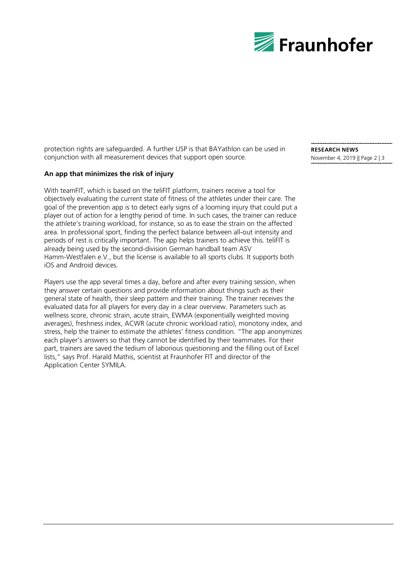

protection rights are safeguarded. A further USP is that BAYathlon can be used in conjunction with all measurement devices that support open source.

## **An app that minimizes the risk of injury**

With teamFIT, which is based on the teliFIT platform, trainers receive a tool for objectively evaluating the current state of fitness of the athletes under their care. The goal of the prevention app is to detect early signs of a looming injury that could put a player out of action for a lengthy period of time. In such cases, the trainer can reduce the athlete's training workload, for instance, so as to ease the strain on the affected area. In professional sport, finding the perfect balance between all-out intensity and periods of rest is critically important. The app helps trainers to achieve this. teliFIT is already being used by the second-division German handball team ASV Hamm-Westfalen e.V., but the license is available to all sports clubs. It supports both iOS and Android devices.

Players use the app several times a day, before and after every training session, when they answer certain questions and provide information about things such as their general state of health, their sleep pattern and their training. The trainer receives the evaluated data for all players for every day in a clear overview. Parameters such as wellness score, chronic strain, acute strain, EWMA (exponentially weighted moving averages), freshness index, ACWR (acute chronic workload ratio), monotony index, and stress, help the trainer to estimate the athletes' fitness condition. "The app anonymizes each player's answers so that they cannot be identified by their teammates. For their part, trainers are saved the tedium of laborious questioning and the filling out of Excel lists," says Prof. Harald Mathis, scientist at Fraunhofer FIT and director of the Application Center SYMILA.

**RESEARCH NEWS** November 4, 2019 || Page 2 | 3